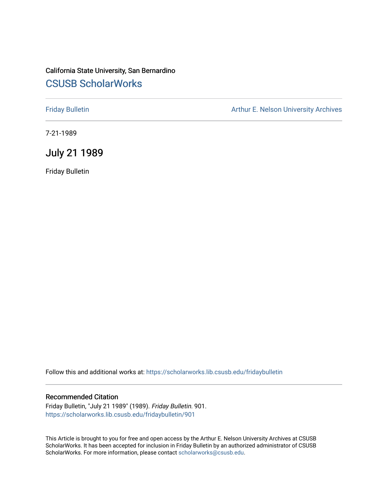## California State University, San Bernardino [CSUSB ScholarWorks](https://scholarworks.lib.csusb.edu/)

[Friday Bulletin](https://scholarworks.lib.csusb.edu/fridaybulletin) **Arthur E. Nelson University Archives** Arthur E. Nelson University Archives

7-21-1989

## July 21 1989

Friday Bulletin

Follow this and additional works at: [https://scholarworks.lib.csusb.edu/fridaybulletin](https://scholarworks.lib.csusb.edu/fridaybulletin?utm_source=scholarworks.lib.csusb.edu%2Ffridaybulletin%2F901&utm_medium=PDF&utm_campaign=PDFCoverPages)

## Recommended Citation

Friday Bulletin, "July 21 1989" (1989). Friday Bulletin. 901. [https://scholarworks.lib.csusb.edu/fridaybulletin/901](https://scholarworks.lib.csusb.edu/fridaybulletin/901?utm_source=scholarworks.lib.csusb.edu%2Ffridaybulletin%2F901&utm_medium=PDF&utm_campaign=PDFCoverPages)

This Article is brought to you for free and open access by the Arthur E. Nelson University Archives at CSUSB ScholarWorks. It has been accepted for inclusion in Friday Bulletin by an authorized administrator of CSUSB ScholarWorks. For more information, please contact [scholarworks@csusb.edu.](mailto:scholarworks@csusb.edu)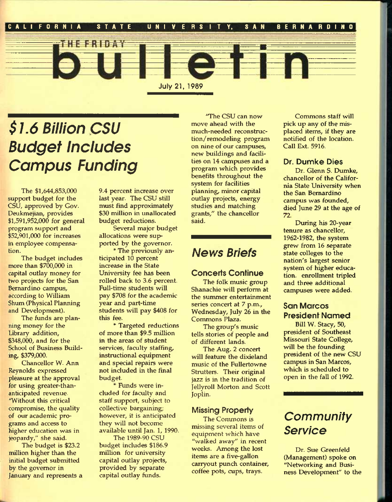

# *\$1.6 Billion CSU Budget Inciudes Campus Funding*

The \$1,644,853,000 support budget for the CSU, approved by Gov. Deukmejian, provides \$1,591,952,000 for general program support and \$52,901,000 for increases in employee compensation.

The budget includes more than \$700,000 in capital outlay money for two projects for the San Bernardino campus, according to William Shum (Physical Planning and Development).

The funds are planning money for the Library addition, \$348,000, and for the School of Business Building, \$379,000.

Chancellor W. Ann Reynolds expressed pleasure at the approval for using greater-thananticipated revenue. 'Without this critical compromise, the quality of our academic programs and access to higher education was in jeopardy," she said.

The budget is \$23.2 million higher than the initial budget submitted by the governor in January and represents a 9.4 percent increase over last year. The CSU still must find approximately \$30 million in unallocated budget reductions.

Several major budget allocations were supported by the governor.

\* The previously anticipated 10 percent increase in the State University fee has been rolled back to 3.6 percent. Full-time students will pay \$708 for the academic year and part-time students will pay \$408 for this fee.

\* Targeted reductions of more than \$9.5 million in the areas of student services, faculty staffing, instructional equipment and special repairs were not included in the final budget.

\* Funds were included for faculty and staff support, subject to collective bargaining; however, it is anticipated they will not become available until Jan. 1, 1990.

The 1989-90 CSU budget includes \$186.9 million for university capital outlay projects, provided by separate capital outlay funds.

'The CSU can now move ahead with the much-needed reconstruction/remodeling program on nine of our campuses, new buildings and facilities on 14 campuses and a program which provides benefits throughout the system for facilities planning, minor capital outlay projects, energy studies and matching grants," the chancellor said.

## *News Briefs*

### **Concerts Continue**

The folk music group Shanachie will perform at the summer entertainment series concert at 7 p.m., Wednesday, July 26 in the Commons Plaza.

The group's music tells stories of people and of different lands.

The Aug. 2 concert will feature the dixieland music of the Fullertowne Strutters. Their original jazz is in the tradition of Jellyroll Morton and Scott Joplin.

## **Missing Property**

The Commons is missing several items of equipment which have "walked away" in recent weeks. Among the lost items are a five-gallon carryout punch container, coffee pots, cups, trays.

Commons staff will pick up any of the misplaced items, if they are notified of the location. Call Ext. 5916.

### **Dr. Dumke Dies**

Dr. Glenn S. Dumke, chancellor of the California State University when the San Bernardino campus was founded, died June 29 at the age of 72.

During his 20-year tenure as chancellor, 1962-1982, the system grew from 16 separate state colleges to the nation's largest senior system of higher education. enrollment tripled and three additional campuses were added.

## **San Marcos President Named**

Bill W. Stacy, 50, president of Southeast Missouri State College, will be the founding president of the new CSU campus in San Marcos, which is scheduled to open in the fall of 1992.

## *Community Service*

Dr. Sue Greenfeld (Management) spoke on "Networking and Business Development" to the